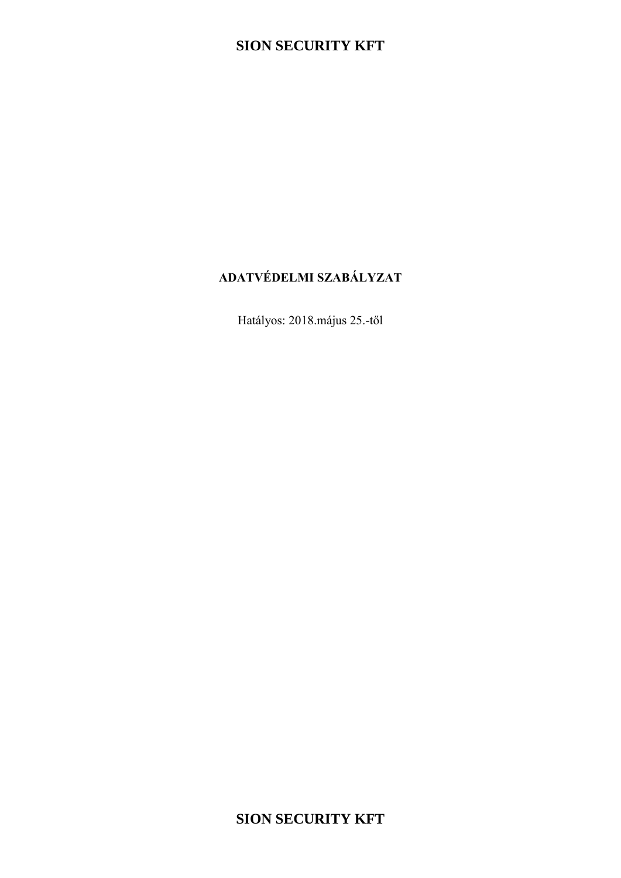# **ADATVÉDELMI SZABÁLYZAT**

Hatályos: 2018.május 25.-től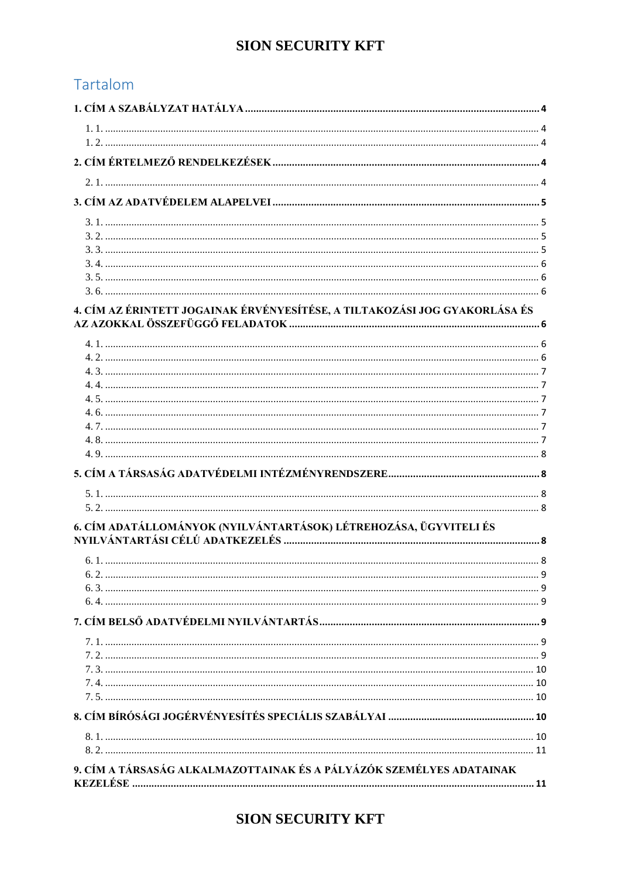# Tartalom

| 4. CÍM AZ ÉRINTETT JOGAINAK ÉRVÉNYESÍTÉSE, A TILTAKOZÁSI JOG GYAKORLÁSA ÉS |  |
|----------------------------------------------------------------------------|--|
|                                                                            |  |
|                                                                            |  |
|                                                                            |  |
|                                                                            |  |
|                                                                            |  |
|                                                                            |  |
|                                                                            |  |
|                                                                            |  |
|                                                                            |  |
|                                                                            |  |
|                                                                            |  |
| 6. CÍM ADATÁLLOMÁNYOK (NYILVÁNTARTÁSOK) LÉTREHOZÁSA, ÜGYVITELI ÉS          |  |
|                                                                            |  |
|                                                                            |  |
|                                                                            |  |
|                                                                            |  |
|                                                                            |  |
|                                                                            |  |
|                                                                            |  |
|                                                                            |  |
|                                                                            |  |
|                                                                            |  |
|                                                                            |  |
|                                                                            |  |
|                                                                            |  |
| 9. CÍM A TÁRSASÁG ALKALMAZOTTAINAK ÉS A PÁLYÁZÓK SZEMÉLYES ADATAINAK       |  |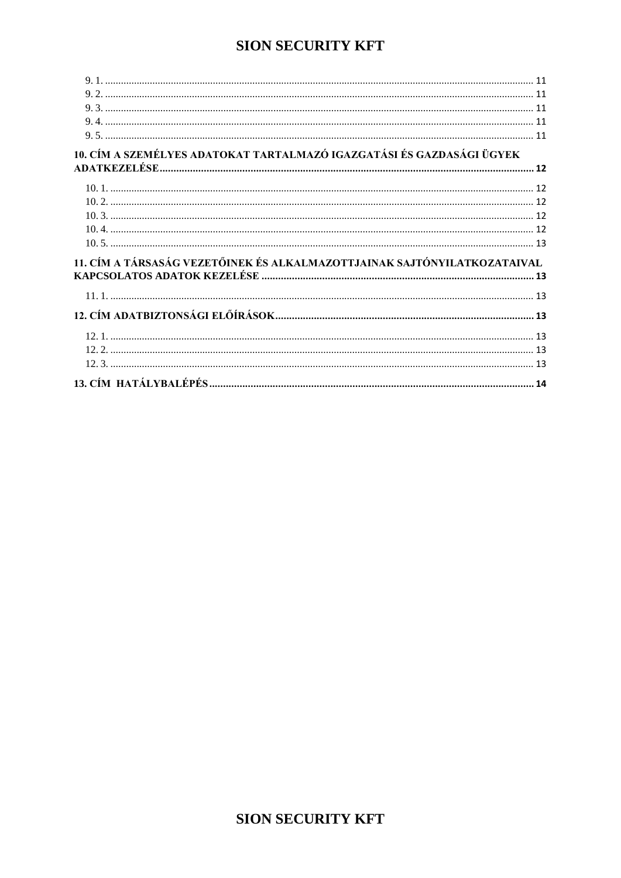| 10. CÍM A SZEMÉLYES ADATOKAT TARTALMAZÓ IGAZGATÁSI ÉS GAZDASÁGI ÜGYEK    |  |
|--------------------------------------------------------------------------|--|
|                                                                          |  |
|                                                                          |  |
|                                                                          |  |
|                                                                          |  |
|                                                                          |  |
|                                                                          |  |
|                                                                          |  |
| 11. CÍM A TÁRSASÁG VEZETŐINEK ÉS ALKALMAZOTTJAINAK SAJTÓNYILATKOZATAIVAL |  |
|                                                                          |  |
|                                                                          |  |
|                                                                          |  |
|                                                                          |  |
|                                                                          |  |
|                                                                          |  |
|                                                                          |  |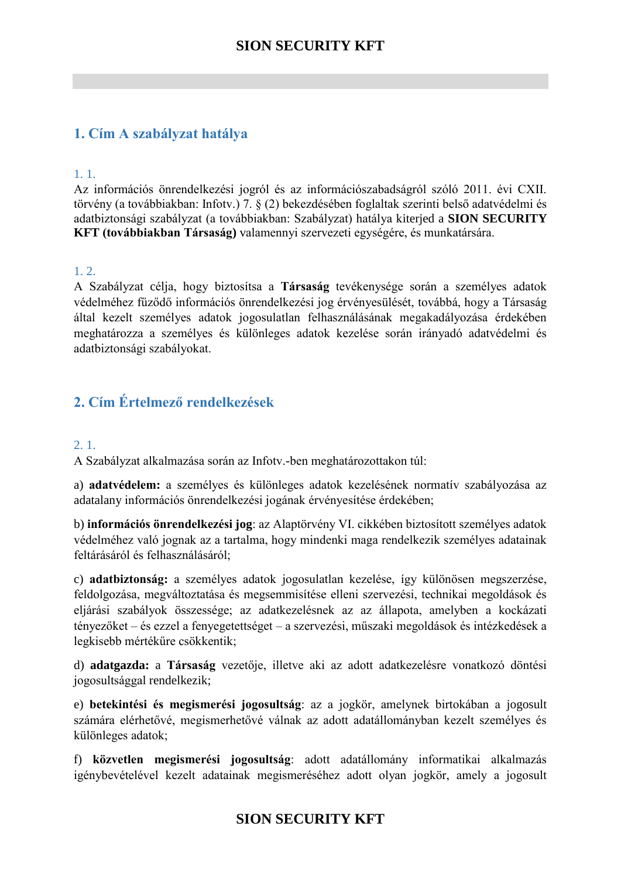## <span id="page-3-0"></span>**1. Cím A szabályzat hatálya**

#### <span id="page-3-1"></span>1. 1.

Az információs önrendelkezési jogról és az információszabadságról szóló 2011. évi CXII. törvény (a továbbiakban: Infotv.) 7. § (2) bekezdésében foglaltak szerinti belső adatvédelmi és adatbiztonsági szabályzat (a továbbiakban: Szabályzat) hatálya kiterjed a **SION SECURITY KFT (továbbiakban Társaság)** valamennyi szervezeti egységére, és munkatársára.

### <span id="page-3-2"></span>1. 2.

A Szabályzat célja, hogy biztosítsa a **Társaság** tevékenysége során a személyes adatok védelméhez fűződő információs önrendelkezési jog érvényesülését, továbbá, hogy a Társaság által kezelt személyes adatok jogosulatlan felhasználásának megakadályozása érdekében meghatározza a személyes és különleges adatok kezelése során irányadó adatvédelmi és adatbiztonsági szabályokat.

## <span id="page-3-3"></span>**2. Cím Értelmező rendelkezések**

#### <span id="page-3-4"></span>2. 1.

A Szabályzat alkalmazása során az Infotv.-ben meghatározottakon túl:

a) **adatvédelem:** a személyes és különleges adatok kezelésének normatív szabályozása az adatalany információs önrendelkezési jogának érvényesítése érdekében;

b) **információs önrendelkezési jog**: az Alaptörvény VI. cikkében biztosított személyes adatok védelméhez való jognak az a tartalma, hogy mindenki maga rendelkezik személyes adatainak feltárásáról és felhasználásáról;

c) **adatbiztonság:** a személyes adatok jogosulatlan kezelése, így különösen megszerzése, feldolgozása, megváltoztatása és megsemmisítése elleni szervezési, technikai megoldások és eljárási szabályok összessége; az adatkezelésnek az az állapota, amelyben a kockázati tényezőket – és ezzel a fenyegetettséget – a szervezési, műszaki megoldások és intézkedések a legkisebb mértékűre csökkentik;

d) **adatgazda:** a **Társaság** vezetője, illetve aki az adott adatkezelésre vonatkozó döntési jogosultsággal rendelkezik;

e) **betekintési és megismerési jogosultság**: az a jogkör, amelynek birtokában a jogosult számára elérhetővé, megismerhetővé válnak az adott adatállományban kezelt személyes és különleges adatok;

f) **közvetlen megismerési jogosultság**: adott adatállomány informatikai alkalmazás igénybevételével kezelt adatainak megismeréséhez adott olyan jogkör, amely a jogosult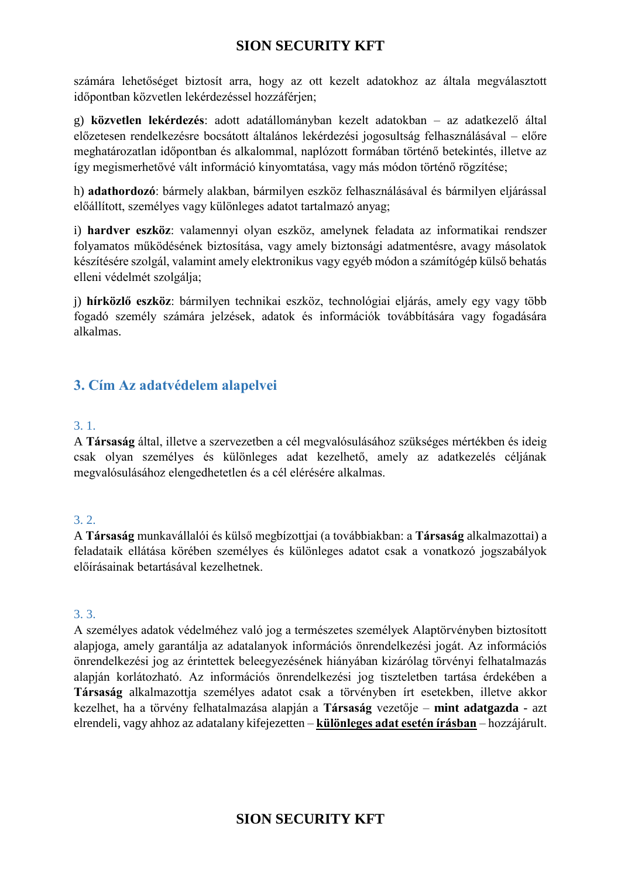számára lehetőséget biztosít arra, hogy az ott kezelt adatokhoz az általa megválasztott időpontban közvetlen lekérdezéssel hozzáférjen;

g) **közvetlen lekérdezés**: adott adatállományban kezelt adatokban – az adatkezelő által előzetesen rendelkezésre bocsátott általános lekérdezési jogosultság felhasználásával – előre meghatározatlan időpontban és alkalommal, naplózott formában történő betekintés, illetve az így megismerhetővé vált információ kinyomtatása, vagy más módon történő rögzítése;

h) **adathordozó**: bármely alakban, bármilyen eszköz felhasználásával és bármilyen eljárással előállított, személyes vagy különleges adatot tartalmazó anyag;

i) **hardver eszköz**: valamennyi olyan eszköz, amelynek feladata az informatikai rendszer folyamatos működésének biztosítása, vagy amely biztonsági adatmentésre, avagy másolatok készítésére szolgál, valamint amely elektronikus vagy egyéb módon a számítógép külső behatás elleni védelmét szolgálja;

j) **hírközlő eszköz**: bármilyen technikai eszköz, technológiai eljárás, amely egy vagy több fogadó személy számára jelzések, adatok és információk továbbítására vagy fogadására alkalmas.

## <span id="page-4-0"></span>**3. Cím Az adatvédelem alapelvei**

### <span id="page-4-1"></span>3. 1.

A **Társaság** által, illetve a szervezetben a cél megvalósulásához szükséges mértékben és ideig csak olyan személyes és különleges adat kezelhető, amely az adatkezelés céljának megvalósulásához elengedhetetlen és a cél elérésére alkalmas.

### <span id="page-4-2"></span>3. 2.

A **Társaság** munkavállalói és külső megbízottjai (a továbbiakban: a **Társaság** alkalmazottai) a feladataik ellátása körében személyes és különleges adatot csak a vonatkozó jogszabályok előírásainak betartásával kezelhetnek.

### <span id="page-4-3"></span>3. 3.

A személyes adatok védelméhez való jog a természetes személyek Alaptörvényben biztosított alapjoga, amely garantálja az adatalanyok információs önrendelkezési jogát. Az információs önrendelkezési jog az érintettek beleegyezésének hiányában kizárólag törvényi felhatalmazás alapján korlátozható. Az információs önrendelkezési jog tiszteletben tartása érdekében a **Társaság** alkalmazottja személyes adatot csak a törvényben írt esetekben, illetve akkor kezelhet, ha a törvény felhatalmazása alapján a **Társaság** vezetője – **mint adatgazda** - azt elrendeli, vagy ahhoz az adatalany kifejezetten – **különleges adat esetén írásban** – hozzájárult.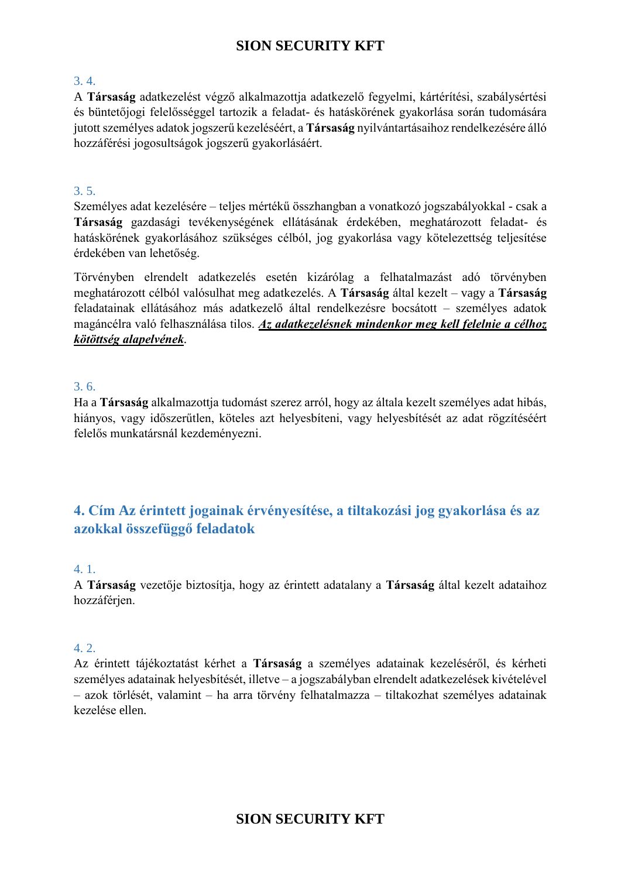### <span id="page-5-0"></span>3. 4.

A **Társaság** adatkezelést végző alkalmazottja adatkezelő fegyelmi, kártérítési, szabálysértési és büntetőjogi felelősséggel tartozik a feladat- és hatáskörének gyakorlása során tudomására jutott személyes adatok jogszerű kezeléséért, a **Társaság** nyilvántartásaihoz rendelkezésére álló hozzáférési jogosultságok jogszerű gyakorlásáért.

### <span id="page-5-1"></span>3. 5.

Személyes adat kezelésére – teljes mértékű összhangban a vonatkozó jogszabályokkal - csak a **Társaság** gazdasági tevékenységének ellátásának érdekében, meghatározott feladat- és hatáskörének gyakorlásához szükséges célból, jog gyakorlása vagy kötelezettség teljesítése érdekében van lehetőség.

Törvényben elrendelt adatkezelés esetén kizárólag a felhatalmazást adó törvényben meghatározott célból valósulhat meg adatkezelés. A **Társaság** által kezelt – vagy a **Társaság** feladatainak ellátásához más adatkezelő által rendelkezésre bocsátott – személyes adatok magáncélra való felhasználása tilos. *Az adatkezelésnek mindenkor meg kell felelnie a célhoz kötöttség alapelvének.*

### <span id="page-5-2"></span>3. 6.

Ha a **Társaság** alkalmazottja tudomást szerez arról, hogy az általa kezelt személyes adat hibás, hiányos, vagy időszerűtlen, köteles azt helyesbíteni, vagy helyesbítését az adat rögzítéséért felelős munkatársnál kezdeményezni.

## <span id="page-5-3"></span>**4. Cím Az érintett jogainak érvényesítése, a tiltakozási jog gyakorlása és az azokkal összefüggő feladatok**

#### <span id="page-5-4"></span>4. 1.

A **Társaság** vezetője biztosítja, hogy az érintett adatalany a **Társaság** által kezelt adataihoz hozzáférjen.

### <span id="page-5-5"></span>4. 2.

Az érintett tájékoztatást kérhet a **Társaság** a személyes adatainak kezeléséről, és kérheti személyes adatainak helyesbítését, illetve – a jogszabályban elrendelt adatkezelések kivételével – azok törlését, valamint – ha arra törvény felhatalmazza – tiltakozhat személyes adatainak kezelése ellen.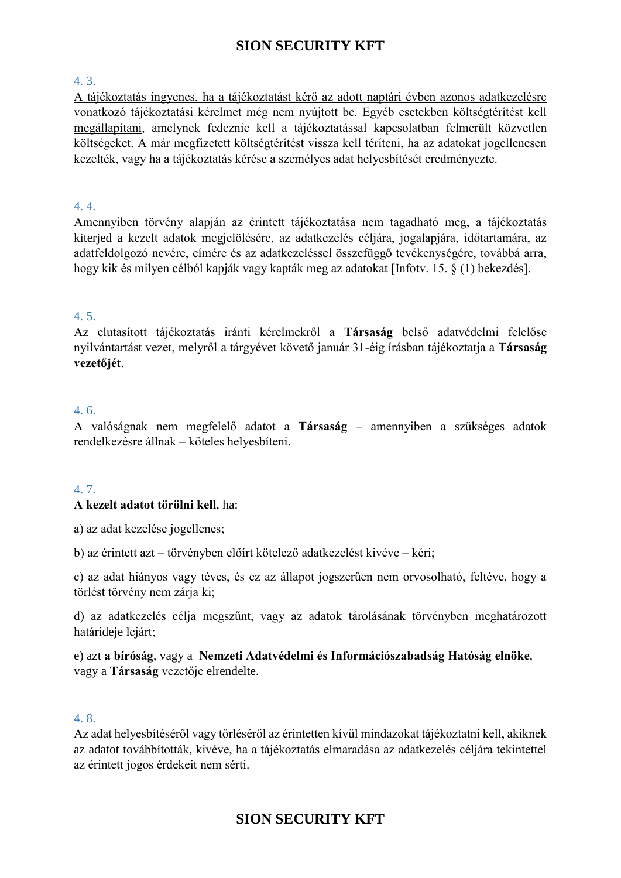### <span id="page-6-0"></span>4. 3.

A tájékoztatás ingyenes, ha a tájékoztatást kérő az adott naptári évben azonos adatkezelésre vonatkozó tájékoztatási kérelmet még nem nyújtott be. Egyéb esetekben költségtérítést kell megállapítani, amelynek fedeznie kell a tájékoztatással kapcsolatban felmerült közvetlen költségeket. A már megfizetett költségtérítést vissza kell téríteni, ha az adatokat jogellenesen kezelték, vagy ha a tájékoztatás kérése a személyes adat helyesbítését eredményezte.

#### <span id="page-6-1"></span>4. 4.

Amennyiben törvény alapján az érintett tájékoztatása nem tagadható meg, a tájékoztatás kiterjed a kezelt adatok megjelölésére, az adatkezelés céljára, jogalapjára, időtartamára, az adatfeldolgozó nevére, címére és az adatkezeléssel összefüggő tevékenységére, továbbá arra, hogy kik és milyen célból kapják vagy kapták meg az adatokat [Infotv. 15. § (1) bekezdés].

### <span id="page-6-2"></span>4. 5.

Az elutasított tájékoztatás iránti kérelmekről a **Társaság** belső adatvédelmi felelőse nyilvántartást vezet, melyről a tárgyévet követő január 31-éig írásban tájékoztatja a **Társaság vezetőjét**.

#### <span id="page-6-3"></span>4. 6.

A valóságnak nem megfelelő adatot a **Társaság** – amennyiben a szükséges adatok rendelkezésre állnak – köteles helyesbíteni.

#### <span id="page-6-4"></span>4. 7.

#### **A kezelt adatot törölni kell**, ha:

a) az adat kezelése jogellenes;

b) az érintett azt – törvényben előírt kötelező adatkezelést kivéve – kéri;

c) az adat hiányos vagy téves, és ez az állapot jogszerűen nem orvosolható, feltéve, hogy a törlést törvény nem zárja ki;

d) az adatkezelés célja megszűnt, vagy az adatok tárolásának törvényben meghatározott határideje lejárt;

e) azt **a bíróság**, vagy a **Nemzeti Adatvédelmi és Információszabadság Hatóság elnöke**, vagy a **Társaság** vezetője elrendelte.

#### <span id="page-6-5"></span>4. 8.

Az adat helyesbítéséről vagy törléséről az érintetten kívül mindazokat tájékoztatni kell, akiknek az adatot továbbították, kivéve, ha a tájékoztatás elmaradása az adatkezelés céljára tekintettel az érintett jogos érdekeit nem sérti.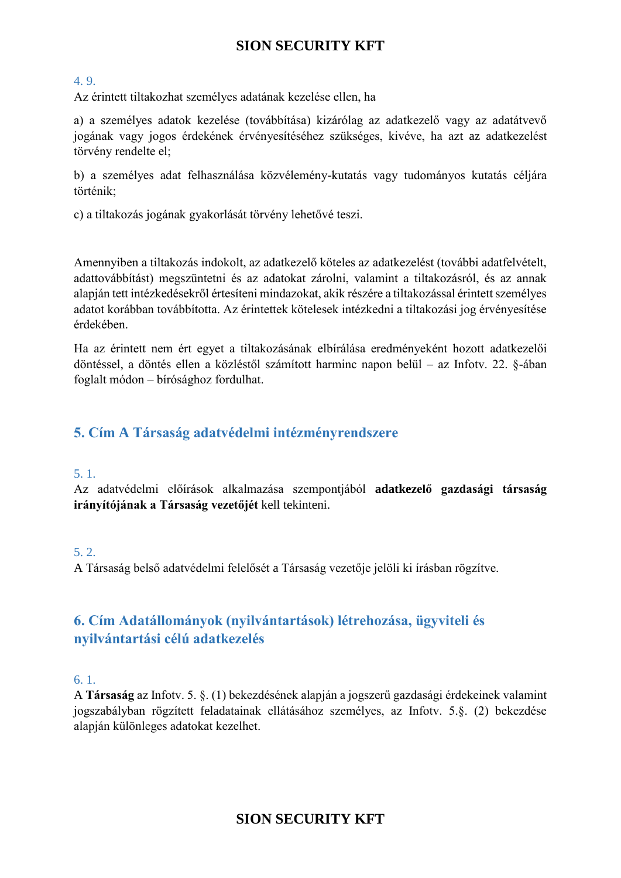### <span id="page-7-0"></span>4. 9.

Az érintett tiltakozhat személyes adatának kezelése ellen, ha

a) a személyes adatok kezelése (továbbítása) kizárólag az adatkezelő vagy az adatátvevő jogának vagy jogos érdekének érvényesítéséhez szükséges, kivéve, ha azt az adatkezelést törvény rendelte el;

b) a személyes adat felhasználása közvélemény-kutatás vagy tudományos kutatás céljára történik;

c) a tiltakozás jogának gyakorlását törvény lehetővé teszi.

Amennyiben a tiltakozás indokolt, az adatkezelő köteles az adatkezelést (további adatfelvételt, adattovábbítást) megszüntetni és az adatokat zárolni, valamint a tiltakozásról, és az annak alapján tett intézkedésekről értesíteni mindazokat, akik részére a tiltakozással érintett személyes adatot korábban továbbította. Az érintettek kötelesek intézkedni a tiltakozási jog érvényesítése érdekében.

Ha az érintett nem ért egyet a tiltakozásának elbírálása eredményeként hozott adatkezelői döntéssel, a döntés ellen a közléstől számított harminc napon belül – az Infotv. 22. §-ában foglalt módon – bírósághoz fordulhat.

## <span id="page-7-1"></span>**5. Cím A Társaság adatvédelmi intézményrendszere**

### <span id="page-7-2"></span>5. 1.

Az adatvédelmi előírások alkalmazása szempontjából **adatkezelő gazdasági társaság irányítójának a Társaság vezetőjét** kell tekinteni.

### <span id="page-7-3"></span>5. 2.

A Társaság belső adatvédelmi felelősét a Társaság vezetője jelöli ki írásban rögzítve.

## <span id="page-7-4"></span>**6. Cím Adatállományok (nyilvántartások) létrehozása, ügyviteli és nyilvántartási célú adatkezelés**

<span id="page-7-5"></span>6. 1.

A **Társaság** az Infotv. 5. §. (1) bekezdésének alapján a jogszerű gazdasági érdekeinek valamint jogszabályban rögzített feladatainak ellátásához személyes, az Infotv. 5.§. (2) bekezdése alapján különleges adatokat kezelhet.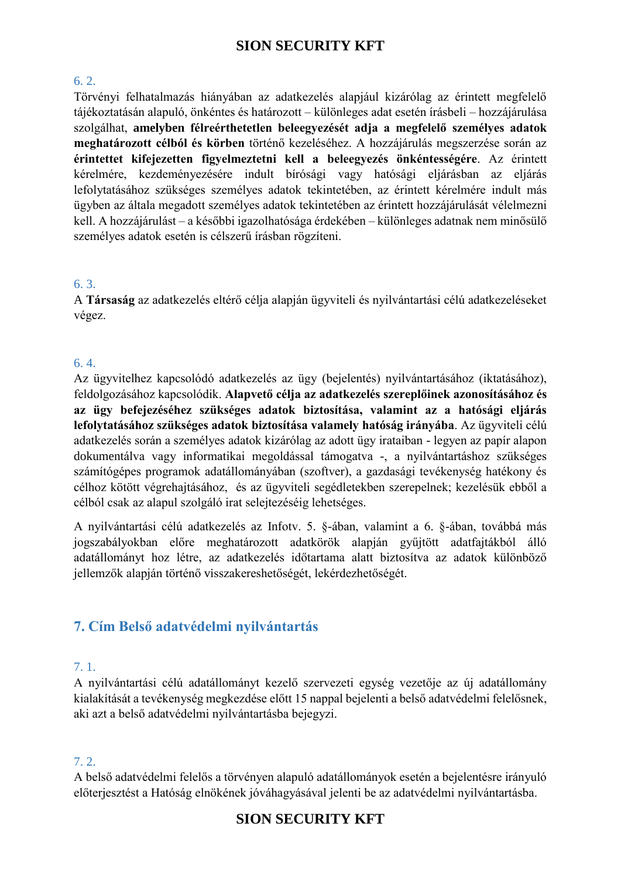### <span id="page-8-0"></span>6. 2.

Törvényi felhatalmazás hiányában az adatkezelés alapjául kizárólag az érintett megfelelő tájékoztatásán alapuló, önkéntes és határozott – különleges adat esetén írásbeli – hozzájárulása szolgálhat, **amelyben félreérthetetlen beleegyezését adja a megfelelő személyes adatok meghatározott célból és körben** történő kezeléséhez. A hozzájárulás megszerzése során az **érintettet kifejezetten figyelmeztetni kell a beleegyezés önkéntességére**. Az érintett kérelmére, kezdeményezésére indult bírósági vagy hatósági eljárásban az eljárás lefolytatásához szükséges személyes adatok tekintetében, az érintett kérelmére indult más ügyben az általa megadott személyes adatok tekintetében az érintett hozzájárulását vélelmezni kell. A hozzájárulást – a későbbi igazolhatósága érdekében – különleges adatnak nem minősülő személyes adatok esetén is célszerű írásban rögzíteni.

### <span id="page-8-1"></span>6. 3.

A **Társaság** az adatkezelés eltérő célja alapján ügyviteli és nyilvántartási célú adatkezeléseket végez.

### <span id="page-8-2"></span>6. 4.

Az ügyvitelhez kapcsolódó adatkezelés az ügy (bejelentés) nyilvántartásához (iktatásához), feldolgozásához kapcsolódik. **Alapvető célja az adatkezelés szereplőinek azonosításához és az ügy befejezéséhez szükséges adatok biztosítása, valamint az a hatósági eljárás lefolytatásához szükséges adatok biztosítása valamely hatóság irányába**. Az ügyviteli célú adatkezelés során a személyes adatok kizárólag az adott ügy irataiban - legyen az papír alapon dokumentálva vagy informatikai megoldással támogatva -, a nyilvántartáshoz szükséges számítógépes programok adatállományában (szoftver), a gazdasági tevékenység hatékony és célhoz kötött végrehajtásához, és az ügyviteli segédletekben szerepelnek; kezelésük ebből a célból csak az alapul szolgáló irat selejtezéséig lehetséges.

A nyilvántartási célú adatkezelés az Infotv. 5. §-ában, valamint a 6. §-ában, továbbá más jogszabályokban előre meghatározott adatkörök alapján gyűjtött adatfajtákból álló adatállományt hoz létre, az adatkezelés időtartama alatt biztosítva az adatok különböző jellemzők alapján történő visszakereshetőségét, lekérdezhetőségét.

### <span id="page-8-3"></span>**7. Cím Belső adatvédelmi nyilvántartás**

### <span id="page-8-4"></span>7. 1.

A nyilvántartási célú adatállományt kezelő szervezeti egység vezetője az új adatállomány kialakítását a tevékenység megkezdése előtt 15 nappal bejelenti a belső adatvédelmi felelősnek, aki azt a belső adatvédelmi nyilvántartásba bejegyzi.

### <span id="page-8-5"></span>7. 2.

A belső adatvédelmi felelős a törvényen alapuló adatállományok esetén a bejelentésre irányuló előterjesztést a Hatóság elnökének jóváhagyásával jelenti be az adatvédelmi nyilvántartásba.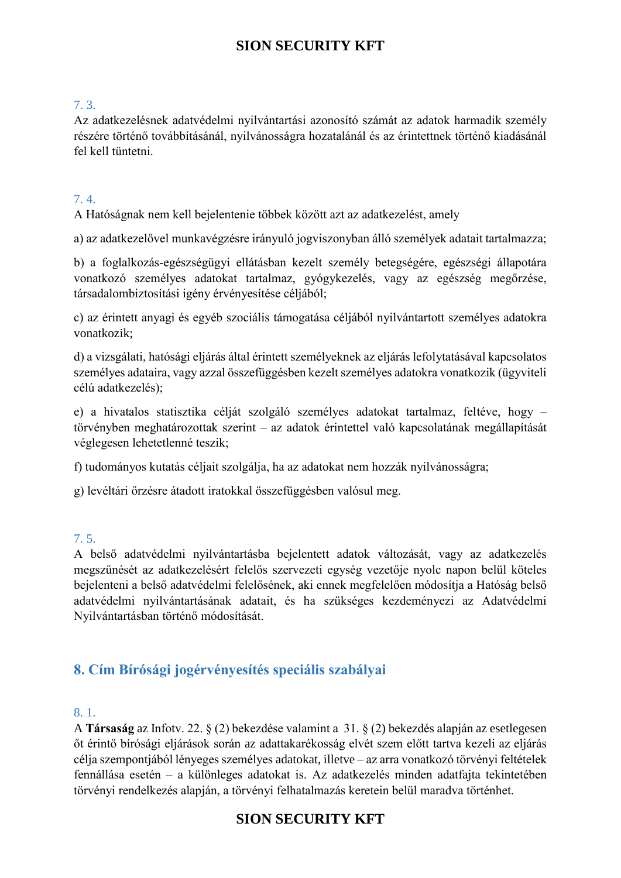### <span id="page-9-0"></span>7. 3.

Az adatkezelésnek adatvédelmi nyilvántartási azonosító számát az adatok harmadik személy részére történő továbbításánál, nyilvánosságra hozatalánál és az érintettnek történő kiadásánál fel kell tüntetni.

### <span id="page-9-1"></span>7. 4.

A Hatóságnak nem kell bejelentenie többek között azt az adatkezelést, amely

a) az adatkezelővel munkavégzésre irányuló jogviszonyban álló személyek adatait tartalmazza;

b) a foglalkozás-egészségügyi ellátásban kezelt személy betegségére, egészségi állapotára vonatkozó személyes adatokat tartalmaz, gyógykezelés, vagy az egészség megőrzése, társadalombiztosítási igény érvényesítése céljából;

c) az érintett anyagi és egyéb szociális támogatása céljából nyilvántartott személyes adatokra vonatkozik;

d) a vizsgálati, hatósági eljárás által érintett személyeknek az eljárás lefolytatásával kapcsolatos személyes adataira, vagy azzal összefüggésben kezelt személyes adatokra vonatkozik (ügyviteli célú adatkezelés);

e) a hivatalos statisztika célját szolgáló személyes adatokat tartalmaz, feltéve, hogy – törvényben meghatározottak szerint – az adatok érintettel való kapcsolatának megállapítását véglegesen lehetetlenné teszik;

f) tudományos kutatás céljait szolgálja, ha az adatokat nem hozzák nyilvánosságra;

g) levéltári őrzésre átadott iratokkal összefüggésben valósul meg.

### <span id="page-9-2"></span>7. 5.

A belső adatvédelmi nyilvántartásba bejelentett adatok változását, vagy az adatkezelés megszűnését az adatkezelésért felelős szervezeti egység vezetője nyolc napon belül köteles bejelenteni a belső adatvédelmi felelősének, aki ennek megfelelően módosítja a Hatóság belső adatvédelmi nyilvántartásának adatait, és ha szükséges kezdeményezi az Adatvédelmi Nyilvántartásban történő módosítását.

## <span id="page-9-3"></span>**8. Cím Bírósági jogérvényesítés speciális szabályai**

#### <span id="page-9-4"></span>8. 1.

A **Társaság** az Infotv. 22. § (2) bekezdése valamint a 31. § (2) bekezdés alapján az esetlegesen őt érintő bírósági eljárások során az adattakarékosság elvét szem előtt tartva kezeli az eljárás célja szempontjából lényeges személyes adatokat, illetve – az arra vonatkozó törvényi feltételek fennállása esetén – a különleges adatokat is. Az adatkezelés minden adatfajta tekintetében törvényi rendelkezés alapján, a törvényi felhatalmazás keretein belül maradva történhet.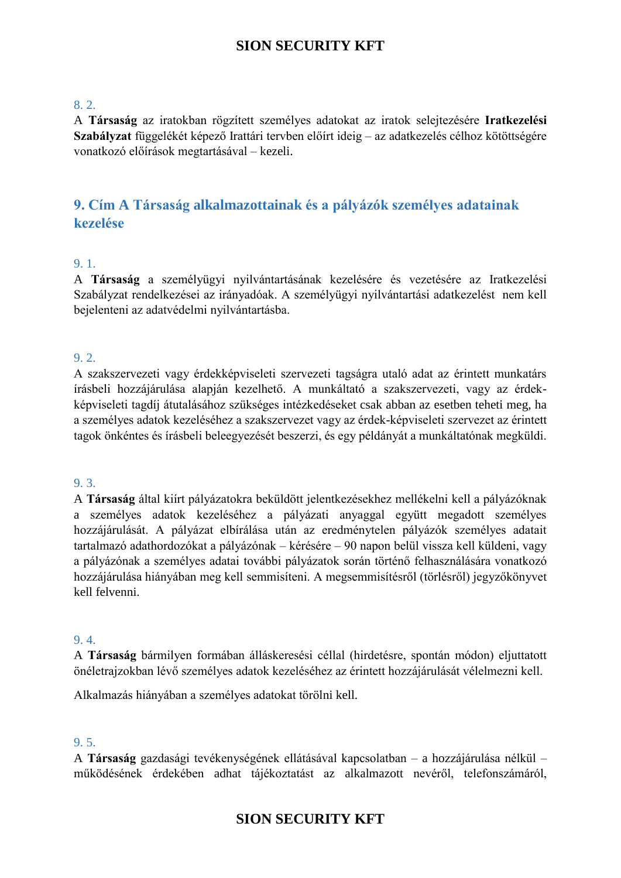### <span id="page-10-0"></span>8. 2.

A **Társaság** az iratokban rögzített személyes adatokat az iratok selejtezésére **Iratkezelési Szabályzat** függelékét képező Irattári tervben előírt ideig – az adatkezelés célhoz kötöttségére vonatkozó előírások megtartásával – kezeli.

## <span id="page-10-1"></span>**9. Cím A Társaság alkalmazottainak és a pályázók személyes adatainak kezelése**

### <span id="page-10-2"></span>9. 1.

A **Társaság** a személyügyi nyilvántartásának kezelésére és vezetésére az Iratkezelési Szabályzat rendelkezései az irányadóak. A személyügyi nyilvántartási adatkezelést nem kell bejelenteni az adatvédelmi nyilvántartásba.

### <span id="page-10-3"></span>9. 2.

A szakszervezeti vagy érdekképviseleti szervezeti tagságra utaló adat az érintett munkatárs írásbeli hozzájárulása alapján kezelhető. A munkáltató a szakszervezeti, vagy az érdekképviseleti tagdíj átutalásához szükséges intézkedéseket csak abban az esetben teheti meg, ha a személyes adatok kezeléséhez a szakszervezet vagy az érdek-képviseleti szervezet az érintett tagok önkéntes és írásbeli beleegyezését beszerzi, és egy példányát a munkáltatónak megküldi.

#### <span id="page-10-4"></span>9. 3.

A **Társaság** által kiírt pályázatokra beküldött jelentkezésekhez mellékelni kell a pályázóknak a személyes adatok kezeléséhez a pályázati anyaggal együtt megadott személyes hozzájárulását. A pályázat elbírálása után az eredménytelen pályázók személyes adatait tartalmazó adathordozókat a pályázónak – kérésére – 90 napon belül vissza kell küldeni, vagy a pályázónak a személyes adatai további pályázatok során történő felhasználására vonatkozó hozzájárulása hiányában meg kell semmisíteni. A megsemmisítésről (törlésről) jegyzőkönyvet kell felvenni.

### <span id="page-10-5"></span>9. 4.

A **Társaság** bármilyen formában álláskeresési céllal (hirdetésre, spontán módon) eljuttatott önéletrajzokban lévő személyes adatok kezeléséhez az érintett hozzájárulását vélelmezni kell.

Alkalmazás hiányában a személyes adatokat törölni kell.

### <span id="page-10-6"></span>9. 5.

A **Társaság** gazdasági tevékenységének ellátásával kapcsolatban – a hozzájárulása nélkül – működésének érdekében adhat tájékoztatást az alkalmazott nevéről, telefonszámáról,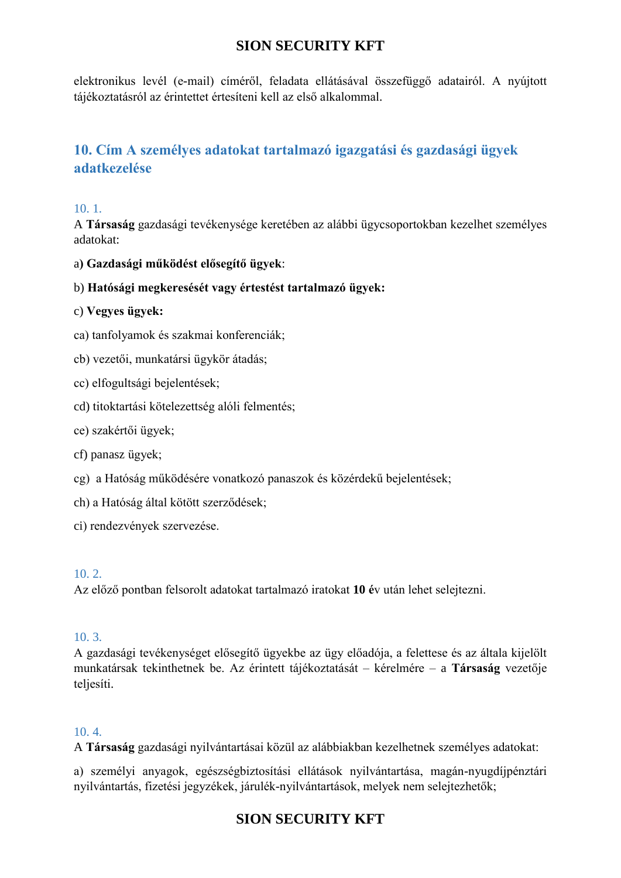elektronikus levél (e-mail) címéről, feladata ellátásával összefüggő adatairól. A nyújtott tájékoztatásról az érintettet értesíteni kell az első alkalommal.

## <span id="page-11-0"></span>**10. Cím A személyes adatokat tartalmazó igazgatási és gazdasági ügyek adatkezelése**

### <span id="page-11-1"></span>10. 1.

A **Társaság** gazdasági tevékenysége keretében az alábbi ügycsoportokban kezelhet személyes adatokat:

- a**) Gazdasági működést elősegítő ügyek**:
- b) **Hatósági megkeresését vagy értestést tartalmazó ügyek:**
- c) **Vegyes ügyek:**
- ca) tanfolyamok és szakmai konferenciák;
- cb) vezetői, munkatársi ügykör átadás;
- cc) elfogultsági bejelentések;
- cd) titoktartási kötelezettség alóli felmentés;
- ce) szakértői ügyek;
- cf) panasz ügyek;
- cg) a Hatóság működésére vonatkozó panaszok és közérdekű bejelentések;
- ch) a Hatóság által kötött szerződések;
- ci) rendezvények szervezése.

#### <span id="page-11-2"></span>10. 2.

Az előző pontban felsorolt adatokat tartalmazó iratokat **10 é**v után lehet selejtezni.

### <span id="page-11-3"></span>10. 3.

A gazdasági tevékenységet elősegítő ügyekbe az ügy előadója, a felettese és az általa kijelölt munkatársak tekinthetnek be. Az érintett tájékoztatását – kérelmére – a **Társaság** vezetője teljesíti.

### <span id="page-11-4"></span>10. 4.

A **Társaság** gazdasági nyilvántartásai közül az alábbiakban kezelhetnek személyes adatokat:

a) személyi anyagok, egészségbiztosítási ellátások nyilvántartása, magán-nyugdíjpénztári nyilvántartás, fizetési jegyzékek, járulék-nyilvántartások, melyek nem selejtezhetők;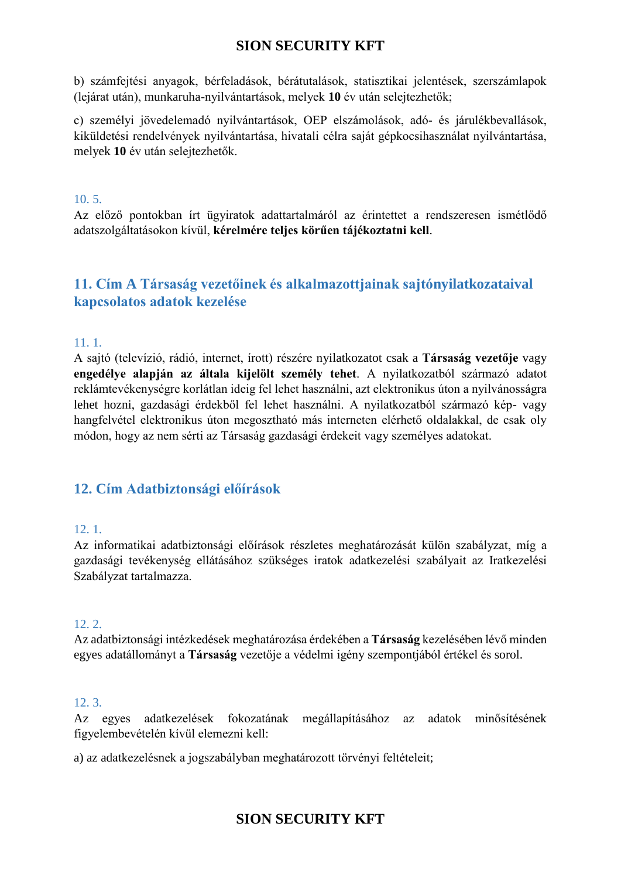b) számfejtési anyagok, bérfeladások, bérátutalások, statisztikai jelentések, szerszámlapok (lejárat után), munkaruha-nyilvántartások, melyek **10** év után selejtezhetők;

c) személyi jövedelemadó nyilvántartások, OEP elszámolások, adó- és járulékbevallások, kiküldetési rendelvények nyilvántartása, hivatali célra saját gépkocsihasználat nyilvántartása, melyek **10** év után selejtezhetők.

### <span id="page-12-0"></span>10. 5.

Az előző pontokban írt ügyiratok adattartalmáról az érintettet a rendszeresen ismétlődő adatszolgáltatásokon kívül, **kérelmére teljes körűen tájékoztatni kell**.

## <span id="page-12-1"></span>**11. Cím A Társaság vezetőinek és alkalmazottjainak sajtónyilatkozataival kapcsolatos adatok kezelése**

### <span id="page-12-2"></span>11. 1.

A sajtó (televízió, rádió, internet, írott) részére nyilatkozatot csak a **Társaság vezetője** vagy **engedélye alapján az általa kijelölt személy tehet**. A nyilatkozatból származó adatot reklámtevékenységre korlátlan ideig fel lehet használni, azt elektronikus úton a nyilvánosságra lehet hozni, gazdasági érdekből fel lehet használni. A nyilatkozatból származó kép- vagy hangfelvétel elektronikus úton megosztható más interneten elérhető oldalakkal, de csak oly módon, hogy az nem sérti az Társaság gazdasági érdekeit vagy személyes adatokat.

## <span id="page-12-3"></span>**12. Cím Adatbiztonsági előírások**

### <span id="page-12-4"></span>12. 1.

Az informatikai adatbiztonsági előírások részletes meghatározását külön szabályzat, míg a gazdasági tevékenység ellátásához szükséges iratok adatkezelési szabályait az Iratkezelési Szabályzat tartalmazza.

### <span id="page-12-5"></span>12. 2.

Az adatbiztonsági intézkedések meghatározása érdekében a **Társaság** kezelésében lévő minden egyes adatállományt a **Társaság** vezetője a védelmi igény szempontjából értékel és sorol.

### <span id="page-12-6"></span>12. 3.

Az egyes adatkezelések fokozatának megállapításához az adatok minősítésének figyelembevételén kívül elemezni kell:

a) az adatkezelésnek a jogszabályban meghatározott törvényi feltételeit;